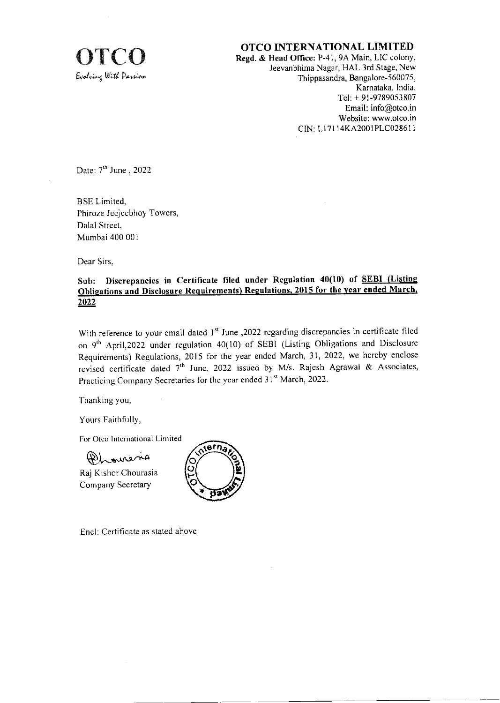

OTCO INTERNATIONAL LIMITED<br>Regd. & Head Office: P-41, 9A Main, LIC colony<br>Ieevanbhima Nagar. HAL 3rd Stage. Nev Regd. & Head Office: P-41, 9A Main, LIC colony, Jeevanbhima Nagar, HAL 3rd Stage, New Thippasandra, Bangalore-560075. Kamataka. India. Tel: + 9l-9789053 807 Email: info@otco.in Website: www.otco in CN: Ll 71 14KA2001PLC0286 I I

Date:  $7<sup>th</sup>$  June, 2022

BSE Limited. Phiroze Jeejeebhoy Towers, Dalal Street. Mumbai 400 00l

Dear Sirs,

# Sub: Discrepancies in Certificate filed under Regulation 40(10) of SEBI (Listing Obligations and Disclosure Requirements) Regulations, 2015 for the year ended March, 2022

With reference to your email dated 1<sup>st</sup> June ,2022 regarding discrepancies in certificate filed on 9'h April,2022 under regulation 40(10) of SEBI (Listing Obligations and Disclosure Requirements) Regulations, 2015 for the year ended March, 31, 2022, we hereby enclose revised certificate dated 7<sup>th</sup> June, 2022 issued by M/s. Rajesh Agrawal & Associates, Practicing Company Secretaries for the year ended 31<sup>st</sup> March, 2022.

Thanking you,

Yours Faithfully,

For Otco International Limited

 $R_{\rm L,swain}$ 

Raj Kishor Chourasia Company Secretary



Encl: Certificate as stated above